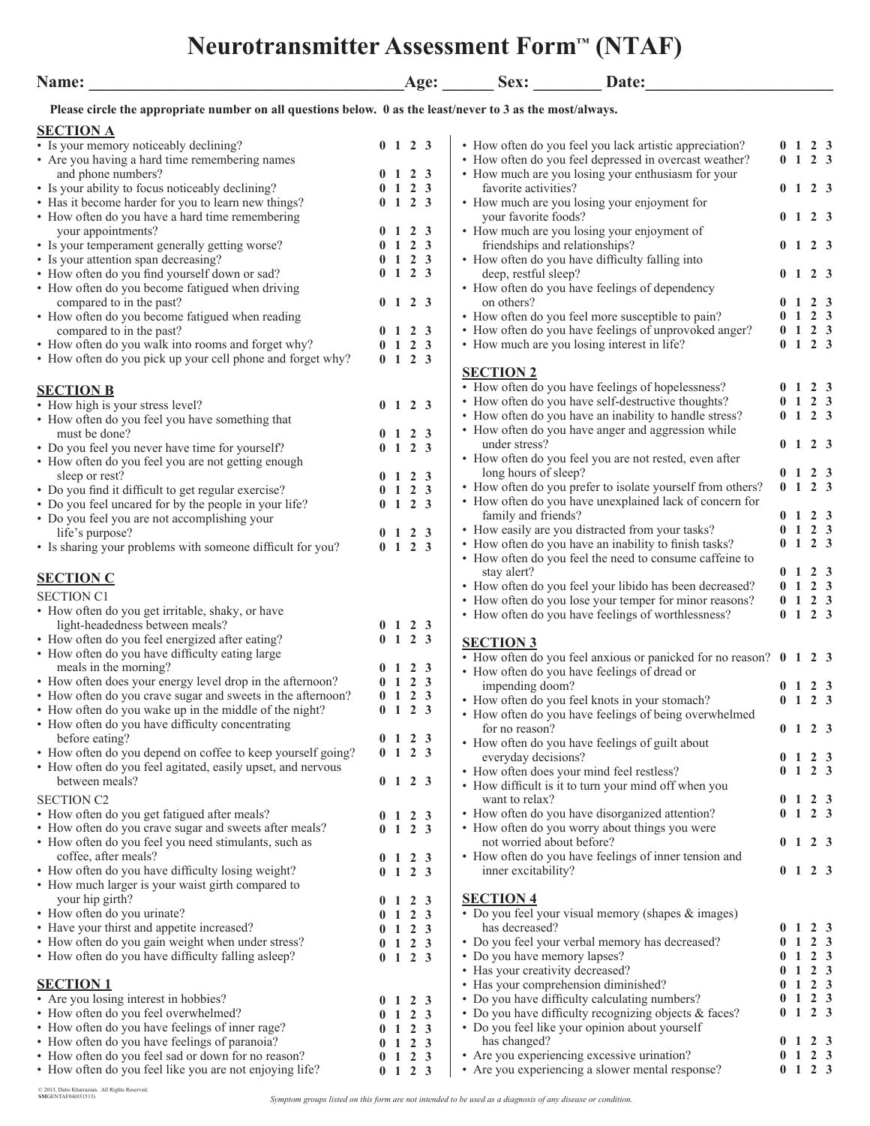# **Neurotransmitter Assessment Form™ (NTAF)**

| Name:                                                                                                      |              |                                     | Age: | Date:<br>Sex:                                                                                                |                |                                     |                               |                  |
|------------------------------------------------------------------------------------------------------------|--------------|-------------------------------------|------|--------------------------------------------------------------------------------------------------------------|----------------|-------------------------------------|-------------------------------|------------------|
| Please circle the appropriate number on all questions below. 0 as the least/never to 3 as the most/always. |              |                                     |      |                                                                                                              |                |                                     |                               |                  |
| <b>SECTION A</b>                                                                                           |              |                                     |      |                                                                                                              |                |                                     |                               |                  |
| • Is your memory noticeably declining?                                                                     |              | $0 \t1 \t2 \t3$                     |      | • How often do you feel you lack artistic appreciation?                                                      |                | $0 \t1 \t2 \t3$                     |                               |                  |
| • Are you having a hard time remembering names                                                             |              |                                     |      | • How often do you feel depressed in overcast weather?                                                       | 0 <sub>1</sub> |                                     | 2 <sub>3</sub>                |                  |
| and phone numbers?                                                                                         |              | $0 \t1 \t2 \t3$                     |      | • How much are you losing your enthusiasm for your                                                           |                |                                     |                               |                  |
| • Is your ability to focus noticeably declining?                                                           |              | $1\quad 2\quad 3$                   |      | favorite activities?                                                                                         |                | $0 \t1 \t2 \t3$                     |                               |                  |
| • Has it become harder for you to learn new things?<br>• How often do you have a hard time remembering     |              | $0 \t1 \t2 \t3$                     |      | • How much are you losing your enjoyment for<br>your favorite foods?                                         |                | $0 \t1 \t2 \t3$                     |                               |                  |
| your appointments?                                                                                         |              | $0 \t1 \t2 \t3$                     |      | • How much are you losing your enjoyment of                                                                  |                |                                     |                               |                  |
| • Is your temperament generally getting worse?                                                             |              | $1\quad 2\quad 3$                   |      | friendships and relationships?                                                                               |                | 0 <sub>1</sub>                      | 2 3                           |                  |
| • Is your attention span decreasing?                                                                       |              | $0 \t1 \t2 \t3$                     |      | • How often do you have difficulty falling into                                                              |                |                                     |                               |                  |
| • How often do you find yourself down or sad?                                                              |              | $0 \t1 \t2 \t3$                     |      | deep, restful sleep?                                                                                         |                | $0 \t1 \t2 \t3$                     |                               |                  |
| • How often do you become fatigued when driving                                                            |              |                                     |      | • How often do you have feelings of dependency                                                               |                |                                     |                               |                  |
| compared to in the past?<br>• How often do you become fatigued when reading                                |              | $0 \t1 \t2 \t3$                     |      | on others?<br>• How often do you feel more susceptible to pain?                                              |                | 1 2 3<br>$1\quad 2\quad 3$          |                               |                  |
| compared to in the past?                                                                                   |              | $1\quad 2\quad 3$                   |      | • How often do you have feelings of unprovoked anger?                                                        |                | $0 \t1 \t2 \t3$                     |                               |                  |
| • How often do you walk into rooms and forget why?                                                         |              | $0 \t1 \t2 \t3$                     |      | • How much are you losing interest in life?                                                                  |                | $0 \t1 \t2 \t3$                     |                               |                  |
| • How often do you pick up your cell phone and forget why?                                                 |              | $0 \t1 \t2 \t3$                     |      |                                                                                                              |                |                                     |                               |                  |
|                                                                                                            |              |                                     |      | <b>SECTION 2</b>                                                                                             |                |                                     |                               |                  |
| <b>SECTION B</b>                                                                                           |              |                                     |      | • How often do you have feelings of hopelessness?                                                            |                | 1 2 3                               |                               |                  |
| • How high is your stress level?                                                                           |              | $1\quad 2\quad 3$                   |      | • How often do you have self-destructive thoughts?<br>• How often do you have an inability to handle stress? |                | $1\quad 2\quad 3$<br>0 <sub>1</sub> | 2 <sub>3</sub>                |                  |
| • How often do you feel you have something that                                                            |              |                                     |      | • How often do you have anger and aggression while                                                           |                |                                     |                               |                  |
| must be done?<br>• Do you feel you never have time for yourself?                                           | $\mathbf{1}$ | $1\quad 2\quad 3$<br>2 <sub>3</sub> |      | under stress?                                                                                                |                | $0 \t1 \t2 \t3$                     |                               |                  |
| • How often do you feel you are not getting enough                                                         |              |                                     |      | • How often do you feel you are not rested, even after                                                       |                |                                     |                               |                  |
| sleep or rest?                                                                                             |              | $1 \t2 \t3$                         |      | long hours of sleep?                                                                                         |                | $0 \t1 \t2 \t3$                     |                               |                  |
| • Do you find it difficult to get regular exercise?                                                        |              | $1\quad 2\quad 3$                   |      | • How often do you prefer to isolate yourself from others?                                                   |                | $0 \t1 \t2 \t3$                     |                               |                  |
| • Do you feel uncared for by the people in your life?                                                      |              | $0 \t1 \t2 \t3$                     |      | • How often do you have unexplained lack of concern for                                                      |                | $0 \t1 \t2 \t3$                     |                               |                  |
| • Do you feel you are not accomplishing your                                                               |              |                                     |      | family and friends?<br>• How easily are you distracted from your tasks?                                      |                | $1\quad 2\quad 3$                   |                               |                  |
| life's purpose?                                                                                            |              | $0 \t1 \t2 \t3$<br>$0 \t1 \t2 \t3$  |      | • How often do you have an inability to finish tasks?                                                        |                | $0 \t1 \t2 \t3$                     |                               |                  |
| • Is sharing your problems with someone difficult for you?                                                 |              |                                     |      | • How often do you feel the need to consume caffeine to                                                      |                |                                     |                               |                  |
| <b>SECTION C</b>                                                                                           |              |                                     |      | stay alert?                                                                                                  |                | $0 \t1 \t2 \t3$                     |                               |                  |
| <b>SECTION C1</b>                                                                                          |              |                                     |      | • How often do you feel your libido has been decreased?                                                      |                | $0 \t1 \t2 \t3$                     |                               |                  |
| • How often do you get irritable, shaky, or have                                                           |              |                                     |      | • How often do you lose your temper for minor reasons?                                                       |                | $0 \t1 \t2 \t3$                     |                               |                  |
| light-headedness between meals?                                                                            |              | $0 \t1 \t2 \t3$                     |      | • How often do you have feelings of worthlessness?                                                           |                | $0 \t1 \t2 \t3$                     |                               |                  |
| • How often do you feel energized after eating?                                                            |              | $0 \t1 \t2 \t3$                     |      | <b>SECTION 3</b>                                                                                             |                |                                     |                               |                  |
| • How often do you have difficulty eating large                                                            |              |                                     |      | • How often do you feel anxious or panicked for no reason? 0 1 2 3                                           |                |                                     |                               |                  |
| meals in the morning?                                                                                      |              | $1\quad 2\quad 3$                   |      | • How often do you have feelings of dread or                                                                 |                |                                     |                               |                  |
| • How often does your energy level drop in the afternoon?                                                  |              | $0 \t1 \t2 \t3$                     |      | impending doom?                                                                                              |                | 0 <sub>1</sub>                      | 2 3                           |                  |
| • How often do you crave sugar and sweets in the afternoon?                                                |              | $0 \t1 \t2 \t3$                     |      | • How often do you feel knots in your stomach?                                                               |                | $0 \t1 \t2 \t3$                     |                               |                  |
| • How often do you wake up in the middle of the night?<br>• How often do you have difficulty concentrating |              | $0 \t1 \t2 \t3$                     |      | • How often do you have feelings of being overwhelmed                                                        |                |                                     |                               |                  |
| before eating?                                                                                             |              | $0 \t1 \t2 \t3$                     |      | for no reason?                                                                                               |                | $0 \t1 \t2 \t3$                     |                               |                  |
| • How often do you depend on coffee to keep yourself going?                                                |              | $0 \t1 \t2 \t3$                     |      | • How often do you have feelings of guilt about<br>everyday decisions?                                       |                | $0 \t1 \t2 \t3$                     |                               |                  |
| • How often do you feel agitated, easily upset, and nervous                                                |              |                                     |      | • How often does your mind feel restless?                                                                    |                | $\mathbf{1}$                        | $2 \overline{3}$              |                  |
| between meals?                                                                                             |              | $0 \t1 \t2 \t3$                     |      | • How difficult is it to turn your mind off when you                                                         |                |                                     |                               |                  |
| <b>SECTION C2</b>                                                                                          |              |                                     |      | want to relax?                                                                                               |                | 0 <sub>1</sub>                      | 2 <sub>3</sub>                |                  |
| • How often do you get fatigued after meals?                                                               |              | $0 \t1 \t2 \t3$                     |      | • How often do you have disorganized attention?                                                              |                | 0 <sub>1</sub>                      | 2 <sub>3</sub>                |                  |
| • How often do you crave sugar and sweets after meals?                                                     |              | $0 \t1 \t2 \t3$                     |      | • How often do you worry about things you were                                                               |                |                                     |                               |                  |
| • How often do you feel you need stimulants, such as                                                       |              |                                     |      | not worried about before?                                                                                    |                | $0 \t1 \t2 \t3$                     |                               |                  |
| coffee, after meals?<br>• How often do you have difficulty losing weight?                                  |              | $0 \t1 \t2 \t3$<br>$0 \t1 \t2 \t3$  |      | • How often do you have feelings of inner tension and                                                        |                | $0 \t1 \t2 \t3$                     |                               |                  |
| • How much larger is your waist girth compared to                                                          |              |                                     |      | inner excitability?                                                                                          |                |                                     |                               |                  |
| your hip girth?                                                                                            |              | $0 \t1 \t2 \t3$                     |      | <b>SECTION 4</b>                                                                                             |                |                                     |                               |                  |
| • How often do you urinate?                                                                                |              | $1\quad 2\quad 3$                   |      | • Do you feel your visual memory (shapes & images)                                                           |                |                                     |                               |                  |
| • Have your thirst and appetite increased?                                                                 |              | $0 \t1 \t2 \t3$                     |      | has decreased?                                                                                               |                | $0 \t1 \t2 \t3$                     |                               |                  |
| • How often do you gain weight when under stress?                                                          |              | $0 \t1 \t2 \t3$                     |      | • Do you feel your verbal memory has decreased?                                                              | $\mathbf{0}$   | -1                                  |                               | $2 \overline{3}$ |
| • How often do you have difficulty falling asleep?                                                         |              | $0 \t1 \t2 \t3$                     |      | • Do you have memory lapses?                                                                                 |                | $0 \t1 \t2 \t3$                     |                               |                  |
|                                                                                                            |              |                                     |      | • Has your creativity decreased?                                                                             |                | 1                                   |                               | 2 <sub>3</sub>   |
| <b>SECTION 1</b><br>• Are you losing interest in hobbies?                                                  |              |                                     |      | • Has your comprehension diminished?<br>• Do you have difficulty calculating numbers?                        |                | 1<br>1                              | $2 \quad 3$<br>2 <sub>3</sub> |                  |
| • How often do you feel overwhelmed?                                                                       |              | $0 \t1 \t2 \t3$<br>$0 \t1 \t2 \t3$  |      | • Do you have difficulty recognizing objects & faces?                                                        |                | $0 \t1 \t2 \t3$                     |                               |                  |
| • How often do you have feelings of inner rage?                                                            |              | $0 \t1 \t2 \t3$                     |      | • Do you feel like your opinion about yourself                                                               |                |                                     |                               |                  |
| • How often do you have feelings of paranoia?                                                              |              | $0 \t1 \t2 \t3$                     |      | has changed?                                                                                                 |                | $0 \t1 \t2 \t3$                     |                               |                  |
| • How often do you feel sad or down for no reason?                                                         |              | $0 \t1 \t2 \t3$                     |      | • Are you experiencing excessive urination?                                                                  |                | $0 \t1 \t2 \t3$                     |                               |                  |

**0 1 2 3**

• How often do you feel like you are not enjoying life?  $\begin{array}{c|c} 0 & 1 & 2 & 3 \end{array}$  • Are you experiencing a slower mental response?

**0 1 2 3**